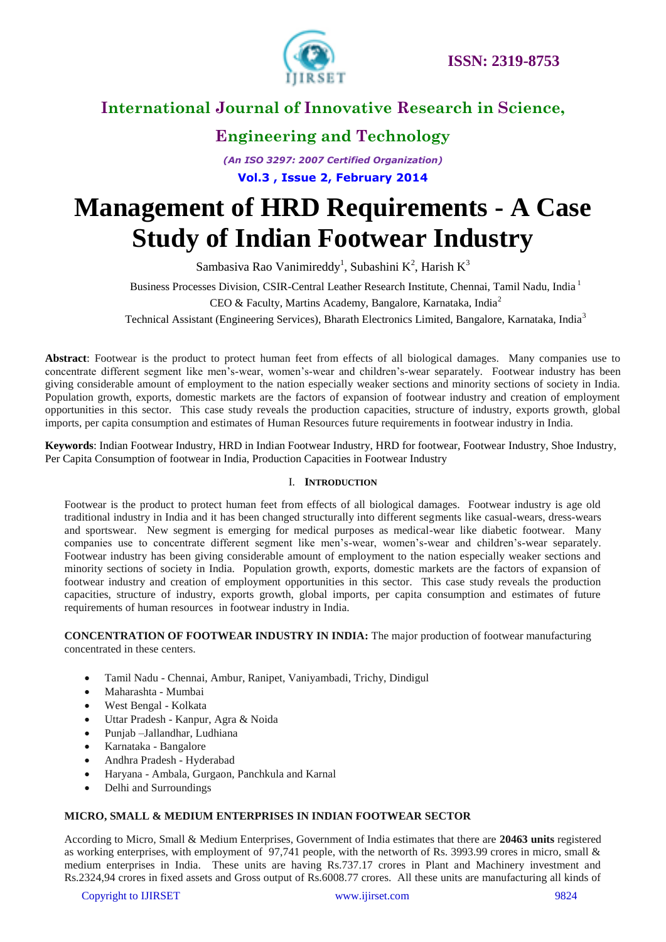

# **Engineering and Technology**

*(An ISO 3297: 2007 Certified Organization)* **Vol.3 , Issue 2, February 2014**

# **Management of HRD Requirements - A Case Study of Indian Footwear Industry**

Sambasiva Rao Vanimireddy<sup>1</sup>, Subashini K<sup>2</sup>, Harish K<sup>3</sup>

Business Processes Division, CSIR-Central Leather Research Institute, Chennai, Tamil Nadu, India <sup>1</sup>

CEO & Faculty, Martins Academy, Bangalore, Karnataka, India<sup>2</sup>

Technical Assistant (Engineering Services), Bharath Electronics Limited, Bangalore, Karnataka, India<sup>3</sup>

**Abstract**: Footwear is the product to protect human feet from effects of all biological damages. Many companies use to concentrate different segment like men's-wear, women's-wear and children's-wear separately. Footwear industry has been giving considerable amount of employment to the nation especially weaker sections and minority sections of society in India. Population growth, exports, domestic markets are the factors of expansion of footwear industry and creation of employment opportunities in this sector. This case study reveals the production capacities, structure of industry, exports growth, global imports, per capita consumption and estimates of Human Resources future requirements in footwear industry in India.

**Keywords**: Indian Footwear Industry, HRD in Indian Footwear Industry, HRD for footwear, Footwear Industry, Shoe Industry, Per Capita Consumption of footwear in India, Production Capacities in Footwear Industry

### I. **INTRODUCTION**

Footwear is the product to protect human feet from effects of all biological damages. Footwear industry is age old traditional industry in India and it has been changed structurally into different segments like casual-wears, dress-wears and sportswear. New segment is emerging for medical purposes as medical-wear like diabetic footwear. Many companies use to concentrate different segment like men's-wear, women's-wear and children's-wear separately. Footwear industry has been giving considerable amount of employment to the nation especially weaker sections and minority sections of society in India. Population growth, exports, domestic markets are the factors of expansion of footwear industry and creation of employment opportunities in this sector. This case study reveals the production capacities, structure of industry, exports growth, global imports, per capita consumption and estimates of future requirements of human resources in footwear industry in India.

**CONCENTRATION OF FOOTWEAR INDUSTRY IN INDIA:** The major production of footwear manufacturing concentrated in these centers.

- Tamil Nadu Chennai, Ambur, Ranipet, Vaniyambadi, Trichy, Dindigul
- Maharashta Mumbai
- West Bengal Kolkata
- Uttar Pradesh Kanpur, Agra & Noida
- Punjab –Jallandhar, Ludhiana
- Karnataka Bangalore
- Andhra Pradesh Hyderabad
- Haryana Ambala, Gurgaon, Panchkula and Karnal
- Delhi and Surroundings

### **MICRO, SMALL & MEDIUM ENTERPRISES IN INDIAN FOOTWEAR SECTOR**

According to Micro, Small & Medium Enterprises, Government of India estimates that there are **20463 units** registered as working enterprises, with employment of 97,741 people, with the networth of Rs. 3993.99 crores in micro, small & medium enterprises in India. These units are having Rs.737.17 crores in Plant and Machinery investment and Rs.2324,94 crores in fixed assets and Gross output of Rs.6008.77 crores. All these units are manufacturing all kinds of

Copyright to IJIRSET [www.ijirset.com](http://www.ijirset.com/) 9824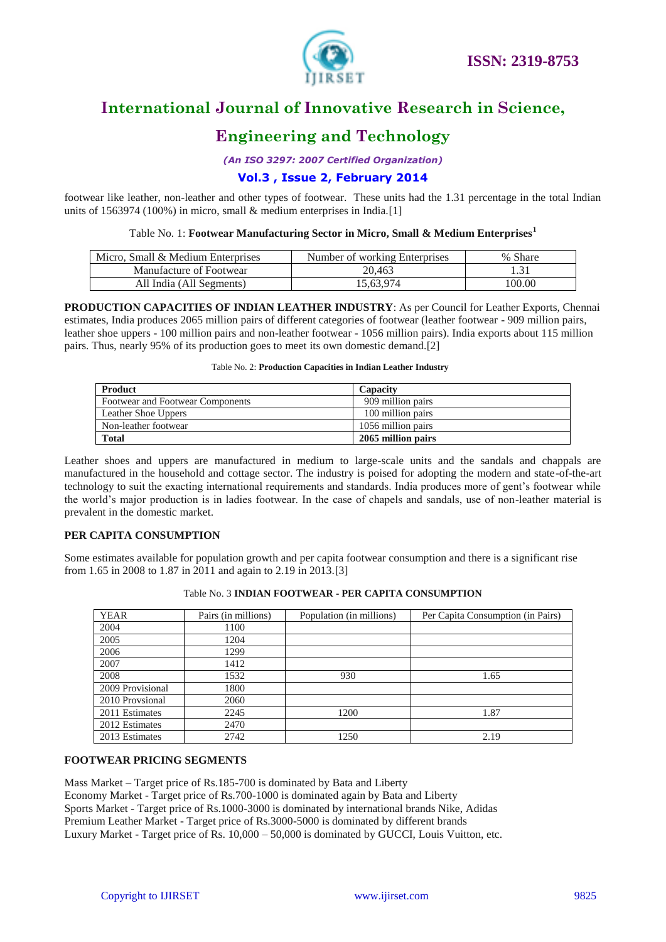

# **Engineering and Technology**

*(An ISO 3297: 2007 Certified Organization)*

### **Vol.3 , Issue 2, February 2014**

footwear like leather, non-leather and other types of footwear. These units had the 1.31 percentage in the total Indian units of 1563974 (100%) in micro, small & medium enterprises in India.[1]

### Table No. 1: **Footwear Manufacturing Sector in Micro, Small & Medium Enterprises<sup>1</sup>**

| Micro, Small & Medium Enterprises | Number of working Enterprises | % Share |
|-----------------------------------|-------------------------------|---------|
| Manufacture of Footwear           | 20.463                        |         |
| All India (All Segments)          | 15.63.974                     | 100.00  |

### **PRODUCTION CAPACITIES OF INDIAN LEATHER INDUSTRY**: As per Council for Leather Exports, Chennai estimates, India produces 2065 million pairs of different categories of footwear (leather footwear - 909 million pairs, leather shoe uppers - 100 million pairs and non-leather footwear - 1056 million pairs). India exports about 115 million pairs. Thus, nearly 95% of its production goes to meet its own domestic demand.[2]

#### Table No. 2: **Production Capacities in Indian Leather Industry**

| Product                          | Capacity           |
|----------------------------------|--------------------|
| Footwear and Footwear Components | 909 million pairs  |
| Leather Shoe Uppers              | 100 million pairs  |
| Non-leather footwear             | 1056 million pairs |
| <b>Total</b>                     | 2065 million pairs |

Leather shoes and uppers are manufactured in medium to large-scale units and the sandals and chappals are manufactured in the household and cottage sector. The industry is poised for adopting the modern and state-of-the-art technology to suit the exacting international requirements and standards. India produces more of gent's footwear while the world's major production is in ladies footwear. In the case of chapels and sandals, use of non-leather material is prevalent in the domestic market.

### **PER CAPITA CONSUMPTION**

Some estimates available for population growth and per capita footwear consumption and there is a significant rise from 1.65 in 2008 to 1.87 in 2011 and again to 2.19 in 2013.[3]

| <b>YEAR</b>      | Pairs (in millions) | Population (in millions) | Per Capita Consumption (in Pairs) |
|------------------|---------------------|--------------------------|-----------------------------------|
| 2004             | 1100                |                          |                                   |
| 2005             | 1204                |                          |                                   |
| 2006             | 1299                |                          |                                   |
| 2007             | 1412                |                          |                                   |
| 2008             | 1532                | 930                      | 1.65                              |
| 2009 Provisional | 1800                |                          |                                   |
| 2010 Provsional  | 2060                |                          |                                   |
| 2011 Estimates   | 2245                | 1200                     | 1.87                              |
| 2012 Estimates   | 2470                |                          |                                   |
| 2013 Estimates   | 2742                | 1250                     | 2.19                              |

### Table No. 3 **INDIAN FOOTWEAR - PER CAPITA CONSUMPTION**

### **FOOTWEAR PRICING SEGMENTS**

Mass Market – Target price of Rs.185-700 is dominated by Bata and Liberty Economy Market - Target price of Rs.700-1000 is dominated again by Bata and Liberty Sports Market - Target price of Rs.1000-3000 is dominated by international brands Nike, Adidas Premium Leather Market - Target price of Rs.3000-5000 is dominated by different brands Luxury Market - Target price of Rs. 10,000 – 50,000 is dominated by GUCCI, Louis Vuitton, etc.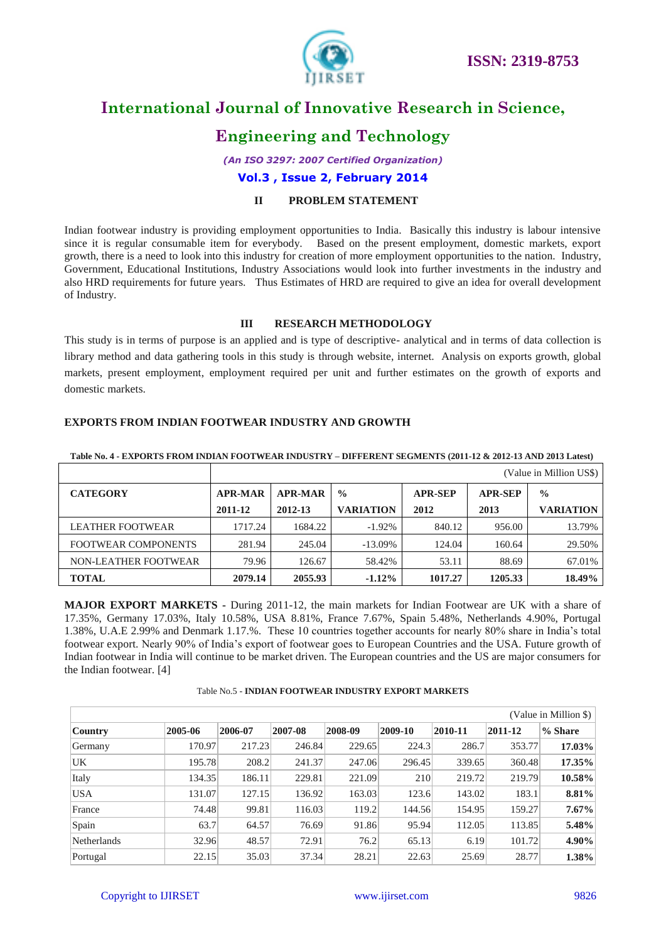

### **Engineering and Technology**

*(An ISO 3297: 2007 Certified Organization)*

**Vol.3 , Issue 2, February 2014**

### **II PROBLEM STATEMENT**

Indian footwear industry is providing employment opportunities to India. Basically this industry is labour intensive since it is regular consumable item for everybody. Based on the present employment, domestic markets, export growth, there is a need to look into this industry for creation of more employment opportunities to the nation. Industry, Government, Educational Institutions, Industry Associations would look into further investments in the industry and also HRD requirements for future years. Thus Estimates of HRD are required to give an idea for overall development of Industry.

### **III RESEARCH METHODOLOGY**

This study is in terms of purpose is an applied and is type of descriptive- analytical and in terms of data collection is library method and data gathering tools in this study is through website, internet. Analysis on exports growth, global markets, present employment, employment required per unit and further estimates on the growth of exports and domestic markets.

### **EXPORTS FROM INDIAN FOOTWEAR INDUSTRY AND GROWTH**

|                            |                |                |                  |                |                | (Value in Million US\$) |
|----------------------------|----------------|----------------|------------------|----------------|----------------|-------------------------|
| <b>CATEGORY</b>            | <b>APR-MAR</b> | <b>APR-MAR</b> | $\frac{0}{0}$    | <b>APR-SEP</b> | <b>APR-SEP</b> | $\frac{0}{0}$           |
|                            | 2011-12        | 2012-13        | <b>VARIATION</b> | 2012           | 2013           | <b>VARIATION</b>        |
| <b>LEATHER FOOTWEAR</b>    | 1717.24        | 1684.22        | $-1.92\%$        | 840.12         | 956.00         | 13.79%                  |
| <b>FOOTWEAR COMPONENTS</b> | 281.94         | 245.04         | $-13.09\%$       | 124.04         | 160.64         | 29.50%                  |
| NON-LEATHER FOOTWEAR       | 79.96          | 126.67         | 58.42%           | 53.11          | 88.69          | 67.01%                  |
| <b>TOTAL</b>               | 2079.14        | 2055.93        | $-1.12%$         | 1017.27        | 1205.33        | 18.49%                  |

#### **Table No. 4 - EXPORTS FROM INDIAN FOOTWEAR INDUSTRY – DIFFERENT SEGMENTS (2011-12 & 2012-13 AND 2013 Latest)**

**MAJOR EXPORT MARKETS -** During 2011-12, the main markets for Indian Footwear are UK with a share of 17.35%, Germany 17.03%, Italy 10.58%, USA 8.81%, France 7.67%, Spain 5.48%, Netherlands 4.90%, Portugal 1.38%, U.A.E 2.99% and Denmark 1.17.%. These 10 countries together accounts for nearly 80% share in India's total footwear export. Nearly 90% of India's export of footwear goes to European Countries and the USA. Future growth of Indian footwear in India will continue to be market driven. The European countries and the US are major consumers for the Indian footwear. [4]

### Table No.5 - **INDIAN FOOTWEAR INDUSTRY EXPORT MARKETS**

|                |         |         |         |         |         |         |         | (Value in Million \$) |
|----------------|---------|---------|---------|---------|---------|---------|---------|-----------------------|
| <b>Country</b> | 2005-06 | 2006-07 | 2007-08 | 2008-09 | 2009-10 | 2010-11 | 2011-12 | % Share               |
| Germany        | 170.97  | 217.23  | 246.84  | 229.65  | 224.3   | 286.7   | 353.77  | 17.03%                |
| UK             | 195.78  | 208.2   | 241.37  | 247.06  | 296.45  | 339.65  | 360.48  | 17.35%                |
| Italy          | 134.35  | 186.11  | 229.81  | 221.09  | 210     | 219.72  | 219.79  | 10.58%                |
| <b>USA</b>     | 131.07  | 127.15  | 136.92  | 163.03  | 123.6   | 143.02  | 183.1   | 8.81%                 |
| France         | 74.48   | 99.81   | 116.03  | 119.2   | 144.56  | 154.95  | 159.27  | $7.67\%$              |
| Spain          | 63.7    | 64.57   | 76.69   | 91.86   | 95.94   | 112.05  | 113.85  | 5.48%                 |
| Netherlands    | 32.96   | 48.57   | 72.91   | 76.2    | 65.13   | 6.19    | 101.72  | 4.90%                 |
| Portugal       | 22.15   | 35.03   | 37.34   | 28.21   | 22.63   | 25.69   | 28.77   | 1.38%                 |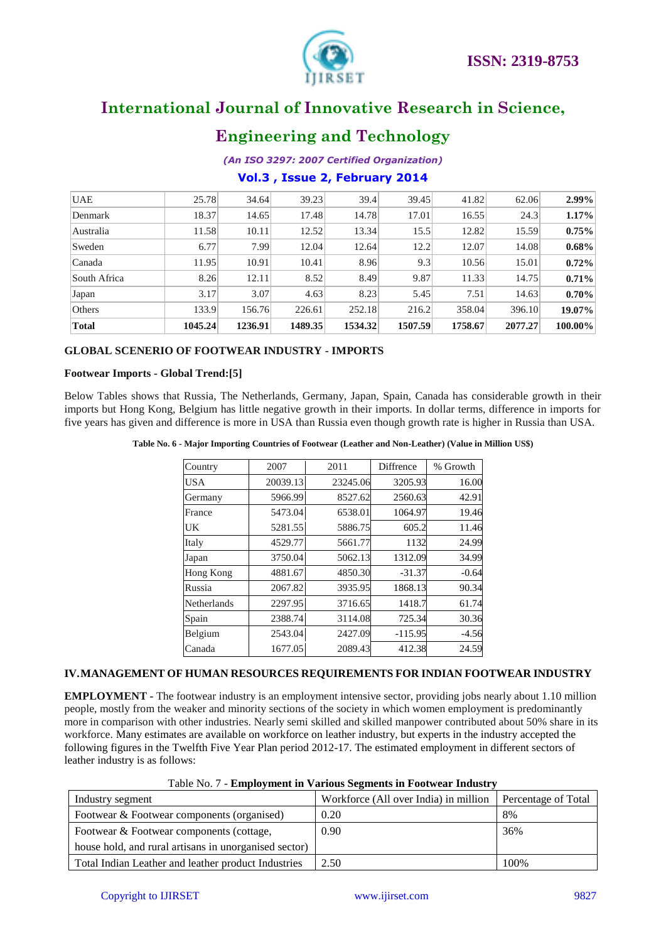

### **Engineering and Technology**

### *(An ISO 3297: 2007 Certified Organization)*

### **Vol.3 , Issue 2, February 2014**

| <b>UAE</b>   | 25.78   | 34.64   | 39.23   | 39.4    | 39.45   | 41.82   | 62.06   | $2.99\%$ |
|--------------|---------|---------|---------|---------|---------|---------|---------|----------|
| Denmark      | 18.37   | 14.65   | 17.48   | 14.78   | 17.01   | 16.55   | 24.3    | 1.17%    |
| Australia    | 11.58   | 10.11   | 12.52   | 13.34   | 15.5    | 12.82   | 15.59   | 0.75%    |
| Sweden       | 6.77    | 7.99    | 12.04   | 12.64   | 12.2    | 12.07   | 14.08   | $0.68\%$ |
| Canada       | 11.95   | 10.91   | 10.41   | 8.96    | 9.3     | 10.56   | 15.01   | 0.72%    |
| South Africa | 8.26    | 12.11   | 8.52    | 8.49    | 9.87    | 11.33   | 14.75   | 0.71%    |
| Japan        | 3.17    | 3.07    | 4.63    | 8.23    | 5.45    | 7.51    | 14.63   | 0.70%    |
| Others       | 133.9   | 156.76  | 226.61  | 252.18  | 216.2   | 358.04  | 396.10  | 19.07%   |
| <b>Total</b> | 1045.24 | 1236.91 | 1489.35 | 1534.32 | 1507.59 | 1758.67 | 2077.27 | 100.00%  |

### **GLOBAL SCENERIO OF FOOTWEAR INDUSTRY - IMPORTS**

### **Footwear Imports - Global Trend:[5]**

Below Tables shows that Russia, The Netherlands, Germany, Japan, Spain, Canada has considerable growth in their imports but Hong Kong, Belgium has little negative growth in their imports. In dollar terms, difference in imports for five years has given and difference is more in USA than Russia even though growth rate is higher in Russia than USA.

**Table No. 6 - Major Importing Countries of Footwear (Leather and Non-Leather) (Value in Million US\$)**

| Country     | 2007     | 2011     | Diffrence | % Growth |
|-------------|----------|----------|-----------|----------|
| <b>USA</b>  | 20039.13 | 23245.06 | 3205.93   | 16.00    |
| Germany     | 5966.99  | 8527.62  | 2560.63   | 42.91    |
| France      | 5473.04  | 6538.01  | 1064.97   | 19.46    |
| UK          | 5281.55  | 5886.75  | 605.2     | 11.46    |
| Italy       | 4529.77  | 5661.77  | 1132      | 24.99    |
| Japan       | 3750.04  | 5062.13  | 1312.09   | 34.99    |
| Hong Kong   | 4881.67  | 4850.30  | $-31.37$  | $-0.64$  |
| Russia      | 2067.82  | 3935.95  | 1868.13   | 90.34    |
| Netherlands | 2297.95  | 3716.65  | 1418.7    | 61.74    |
| Spain       | 2388.74  | 3114.08  | 725.34    | 30.36    |
| Belgium     | 2543.04  | 2427.09  | $-115.95$ | $-4.56$  |
| Canada      | 1677.05  | 2089.43  | 412.38    | 24.59    |

### **IV.MANAGEMENT OF HUMAN RESOURCES REQUIREMENTS FOR INDIAN FOOTWEAR INDUSTRY**

**EMPLOYMENT -** The footwear industry is an employment intensive sector, providing jobs nearly about 1.10 million people, mostly from the weaker and minority sections of the society in which women employment is predominantly more in comparison with other industries. Nearly semi skilled and skilled manpower contributed about 50% share in its workforce. Many estimates are available on workforce on leather industry, but experts in the industry accepted the following figures in the Twelfth Five Year Plan period 2012-17. The estimated employment in different sectors of leather industry is as follows:

|  |  |  |  | Table No. 7 - Employment in Various Segments in Footwear Industry |  |
|--|--|--|--|-------------------------------------------------------------------|--|
|  |  |  |  |                                                                   |  |
|  |  |  |  |                                                                   |  |

| Industry segment                                      | Workforce (All over India) in million | Percentage of Total |
|-------------------------------------------------------|---------------------------------------|---------------------|
| Footwear & Footwear components (organised)            | 0.20                                  | 8%                  |
| Footwear & Footwear components (cottage,              | 0.90                                  | 36%                 |
| house hold, and rural artisans in unorganised sector) |                                       |                     |
| Total Indian Leather and leather product Industries   | 2.50                                  | 100%                |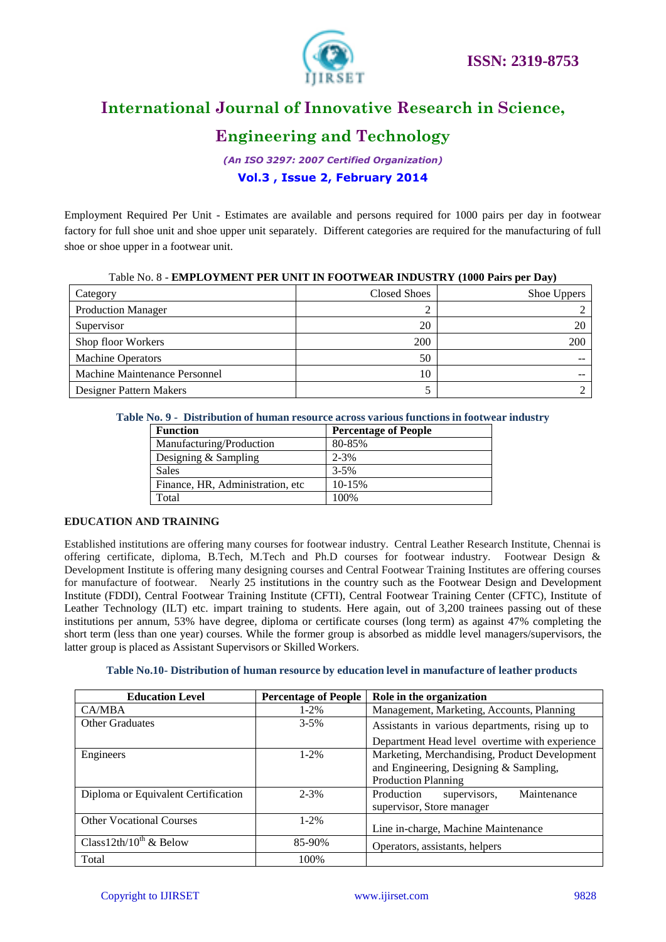

### **Engineering and Technology**

*(An ISO 3297: 2007 Certified Organization)* **Vol.3 , Issue 2, February 2014**

Employment Required Per Unit - Estimates are available and persons required for 1000 pairs per day in footwear factory for full shoe unit and shoe upper unit separately. Different categories are required for the manufacturing of full shoe or shoe upper in a footwear unit.

| Table No. 8 - EMIPLO YMENT PER UNIT IN FOOTWEAR INDUSTRY (TOOU PAIFS PET DAY) |                     |             |  |  |  |  |
|-------------------------------------------------------------------------------|---------------------|-------------|--|--|--|--|
| Category                                                                      | <b>Closed Shoes</b> | Shoe Uppers |  |  |  |  |
| <b>Production Manager</b>                                                     |                     |             |  |  |  |  |
| Supervisor                                                                    | 20                  |             |  |  |  |  |
| Shop floor Workers                                                            | 200                 | 200         |  |  |  |  |
| <b>Machine Operators</b>                                                      | 50                  |             |  |  |  |  |
| Machine Maintenance Personnel                                                 | 10                  |             |  |  |  |  |
| Designer Pattern Makers                                                       |                     |             |  |  |  |  |

### Table No. 8 - **EMPLOYMENT PER UNIT IN FOOTWEAR INDUSTRY (1000 Pairs per Day)**

| Table No. 9 - Distribution of human resource across various functions in footwear industry |  |  |
|--------------------------------------------------------------------------------------------|--|--|
|                                                                                            |  |  |

| <b>Function</b>                   | <b>Percentage of People</b> |
|-----------------------------------|-----------------------------|
| Manufacturing/Production          | 80-85%                      |
| Designing $&$ Sampling            | $2 - 3%$                    |
| Sales                             | $3 - 5\%$                   |
| Finance, HR, Administration, etc. | $10 - 15%$                  |
| Total                             | 100%                        |

### **EDUCATION AND TRAINING**

Established institutions are offering many courses for footwear industry. Central Leather Research Institute, Chennai is offering certificate, diploma, B.Tech, M.Tech and Ph.D courses for footwear industry. Footwear Design & Development Institute is offering many designing courses and Central Footwear Training Institutes are offering courses for manufacture of footwear. Nearly 25 institutions in the country such as the Footwear Design and Development Institute (FDDI), Central Footwear Training Institute (CFTI), Central Footwear Training Center (CFTC), Institute of Leather Technology (ILT) etc. impart training to students. Here again, out of 3,200 trainees passing out of these institutions per annum, 53% have degree, diploma or certificate courses (long term) as against 47% completing the short term (less than one year) courses. While the former group is absorbed as middle level managers/supervisors, the latter group is placed as Assistant Supervisors or Skilled Workers.

#### **Table No.10- Distribution of human resource by education level in manufacture of leather products**

| <b>Education Level</b>              | <b>Percentage of People</b> | Role in the organization                                             |  |  |  |  |
|-------------------------------------|-----------------------------|----------------------------------------------------------------------|--|--|--|--|
| CA/MBA                              | $1 - 2\%$                   | Management, Marketing, Accounts, Planning                            |  |  |  |  |
| <b>Other Graduates</b>              | $3 - 5\%$                   | Assistants in various departments, rising up to                      |  |  |  |  |
|                                     |                             | Department Head level overtime with experience                       |  |  |  |  |
| Engineers                           | $1 - 2\%$                   | Marketing, Merchandising, Product Development                        |  |  |  |  |
|                                     |                             | and Engineering, Designing & Sampling,<br><b>Production Planning</b> |  |  |  |  |
|                                     |                             |                                                                      |  |  |  |  |
| Diploma or Equivalent Certification | $2 - 3%$                    | supervisors,<br>Maintenance<br>Production                            |  |  |  |  |
|                                     |                             | supervisor, Store manager                                            |  |  |  |  |
| <b>Other Vocational Courses</b>     | $1 - 2\%$                   |                                                                      |  |  |  |  |
|                                     |                             | Line in-charge, Machine Maintenance                                  |  |  |  |  |
| Class12th/10 <sup>th</sup> & Below  | 85-90%                      | Operators, assistants, helpers                                       |  |  |  |  |
| Total                               | 100%                        |                                                                      |  |  |  |  |